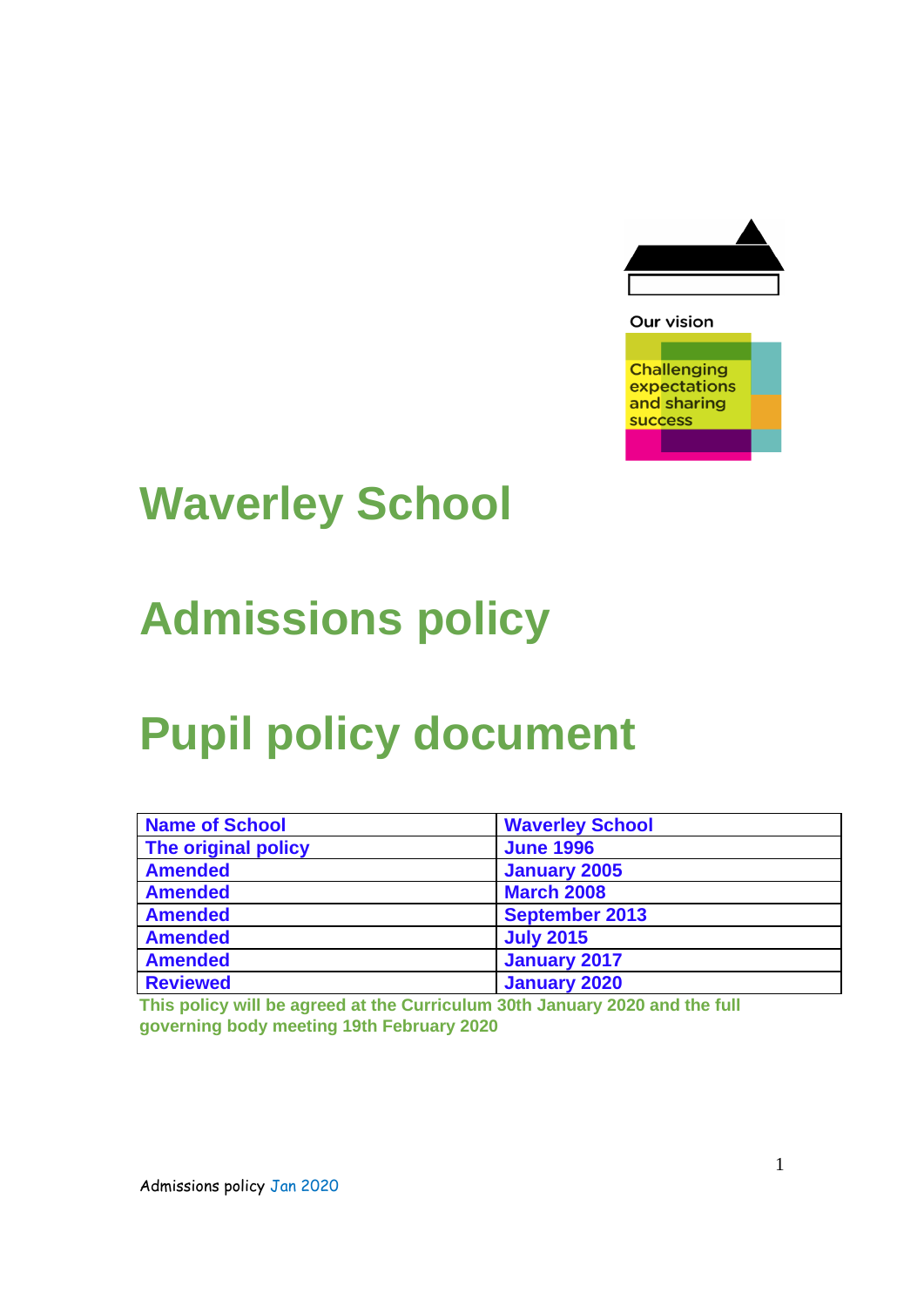

**Challenging** expectations

and sharing success

## **Waverley School**

# **Admissions policy**

# **Pupil policy document**

| <b>Name of School</b> | <b>Waverley School</b> |
|-----------------------|------------------------|
| The original policy   | <b>June 1996</b>       |
| <b>Amended</b>        | <b>January 2005</b>    |
| <b>Amended</b>        | <b>March 2008</b>      |
| <b>Amended</b>        | <b>September 2013</b>  |
| <b>Amended</b>        | <b>July 2015</b>       |
| <b>Amended</b>        | <b>January 2017</b>    |
| <b>Reviewed</b>       | <b>January 2020</b>    |

**This policy will be agreed at the Curriculum 30th January 2020 and the full governing body meeting 19th February 2020**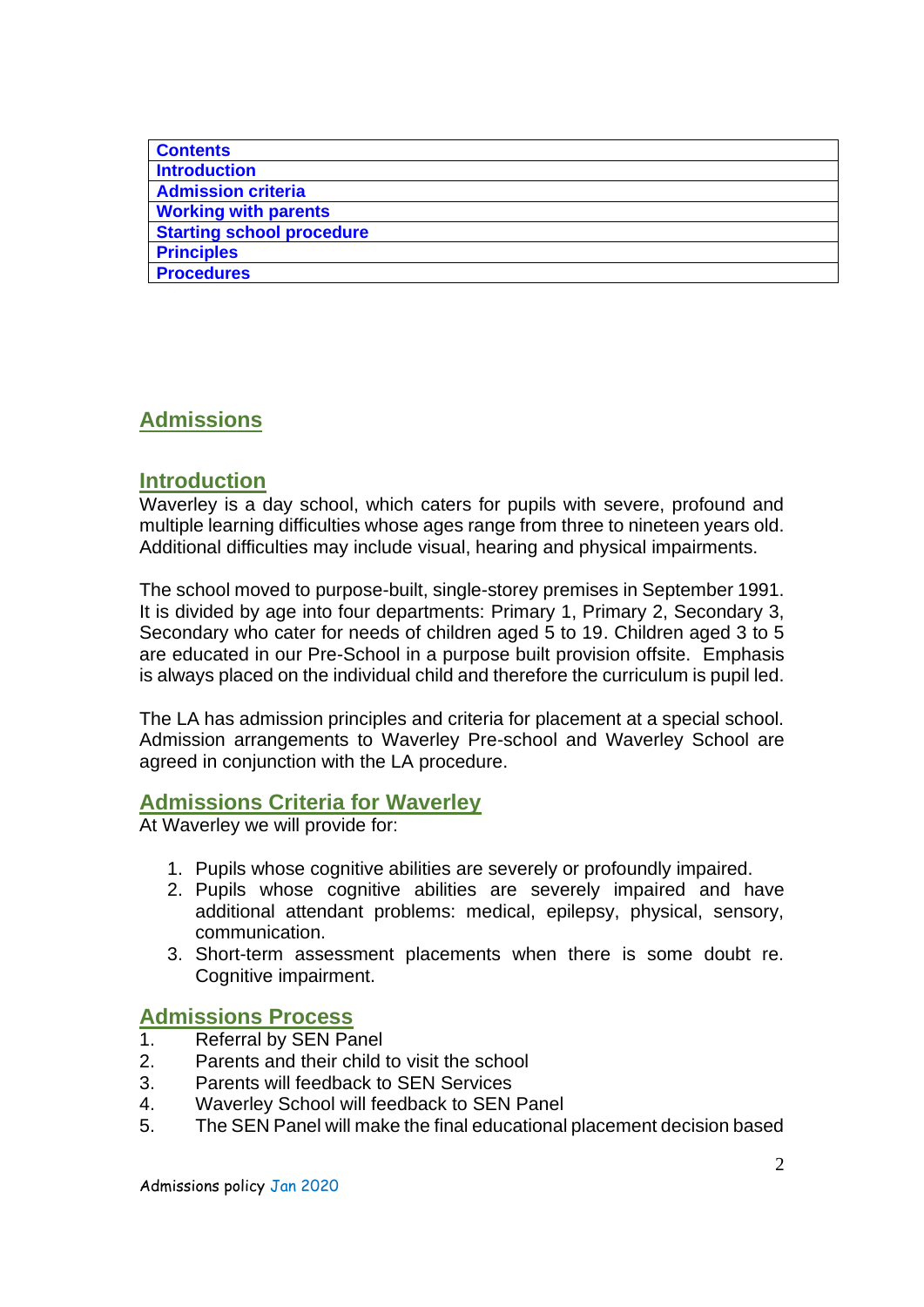| <b>Contents</b>                  |
|----------------------------------|
| <b>Introduction</b>              |
| <b>Admission criteria</b>        |
| <b>Working with parents</b>      |
| <b>Starting school procedure</b> |
| <b>Principles</b>                |
| <b>Procedures</b>                |

### **Admissions**

### **Introduction**

Waverley is a day school, which caters for pupils with severe, profound and multiple learning difficulties whose ages range from three to nineteen years old. Additional difficulties may include visual, hearing and physical impairments.

The school moved to purpose-built, single-storey premises in September 1991. It is divided by age into four departments: Primary 1, Primary 2, Secondary 3, Secondary who cater for needs of children aged 5 to 19. Children aged 3 to 5 are educated in our Pre-School in a purpose built provision offsite. Emphasis is always placed on the individual child and therefore the curriculum is pupil led.

The LA has admission principles and criteria for placement at a special school. Admission arrangements to Waverley Pre-school and Waverley School are agreed in conjunction with the LA procedure.

### **Admissions Criteria for Waverley**

At Waverley we will provide for:

- 1. Pupils whose cognitive abilities are severely or profoundly impaired.
- 2. Pupils whose cognitive abilities are severely impaired and have additional attendant problems: medical, epilepsy, physical, sensory, communication.
- 3. Short-term assessment placements when there is some doubt re. Cognitive impairment.

### **Admissions Process**

- 1. Referral by SEN Panel
- 2. Parents and their child to visit the school
- 3. Parents will feedback to SEN Services
- 4. Waverley School will feedback to SEN Panel
- 5. The SEN Panel will make the final educational placement decision based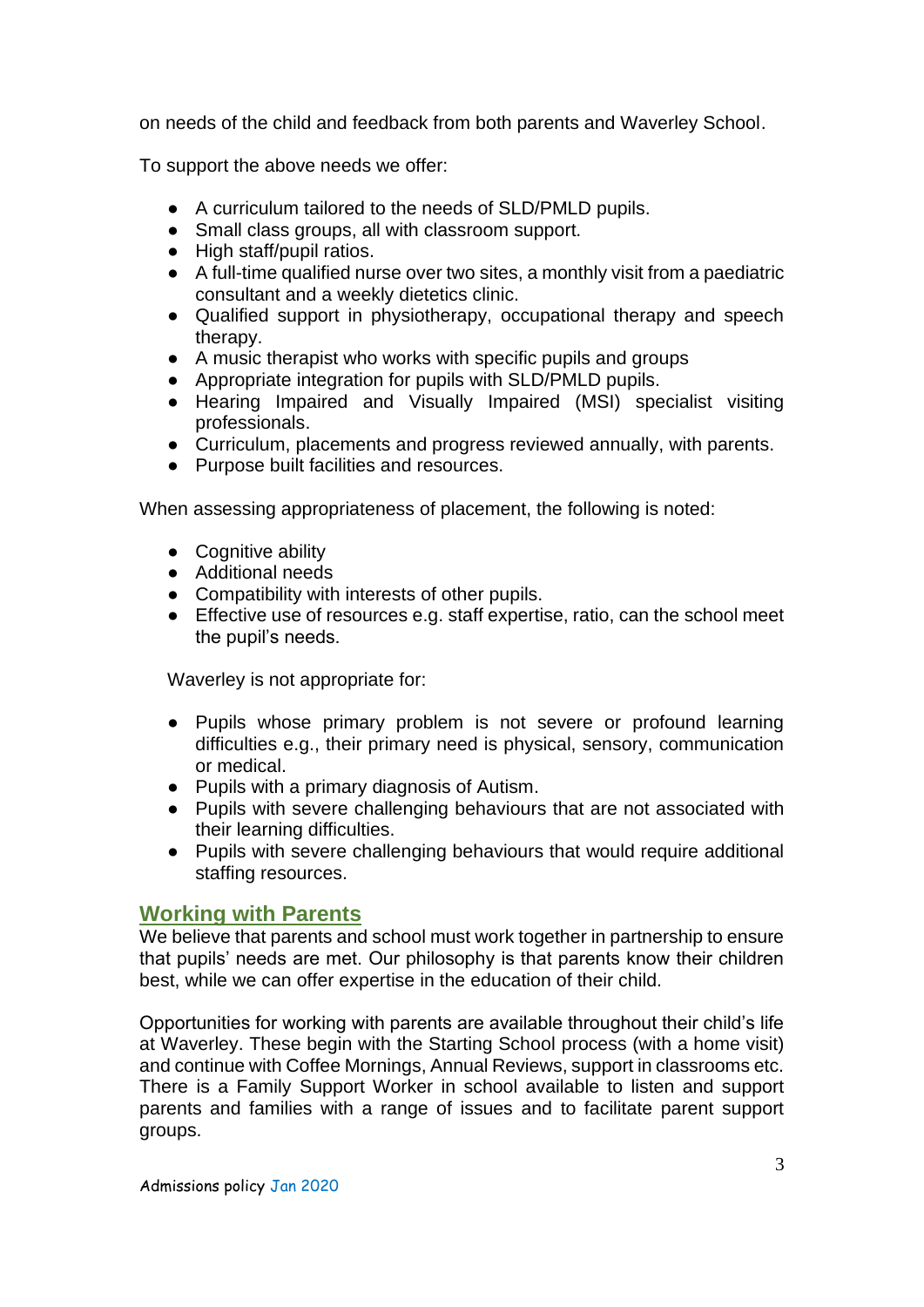on needs of the child and feedback from both parents and Waverley School.

To support the above needs we offer:

- A curriculum tailored to the needs of SLD/PMLD pupils.
- Small class groups, all with classroom support.
- High staff/pupil ratios.
- A full-time qualified nurse over two sites, a monthly visit from a paediatric consultant and a weekly dietetics clinic.
- Qualified support in physiotherapy, occupational therapy and speech therapy.
- A music therapist who works with specific pupils and groups
- Appropriate integration for pupils with SLD/PMLD pupils.
- Hearing Impaired and Visually Impaired (MSI) specialist visiting professionals.
- Curriculum, placements and progress reviewed annually, with parents.
- Purpose built facilities and resources.

When assessing appropriateness of placement, the following is noted:

- Cognitive ability
- Additional needs
- Compatibility with interests of other pupils.
- Effective use of resources e.g. staff expertise, ratio, can the school meet the pupil's needs.

Waverley is not appropriate for:

- Pupils whose primary problem is not severe or profound learning difficulties e.g., their primary need is physical, sensory, communication or medical.
- Pupils with a primary diagnosis of Autism.
- Pupils with severe challenging behaviours that are not associated with their learning difficulties.
- Pupils with severe challenging behaviours that would require additional staffing resources.

### **Working with Parents**

We believe that parents and school must work together in partnership to ensure that pupils' needs are met. Our philosophy is that parents know their children best, while we can offer expertise in the education of their child.

Opportunities for working with parents are available throughout their child's life at Waverley. These begin with the Starting School process (with a home visit) and continue with Coffee Mornings, Annual Reviews, support in classrooms etc. There is a Family Support Worker in school available to listen and support parents and families with a range of issues and to facilitate parent support groups.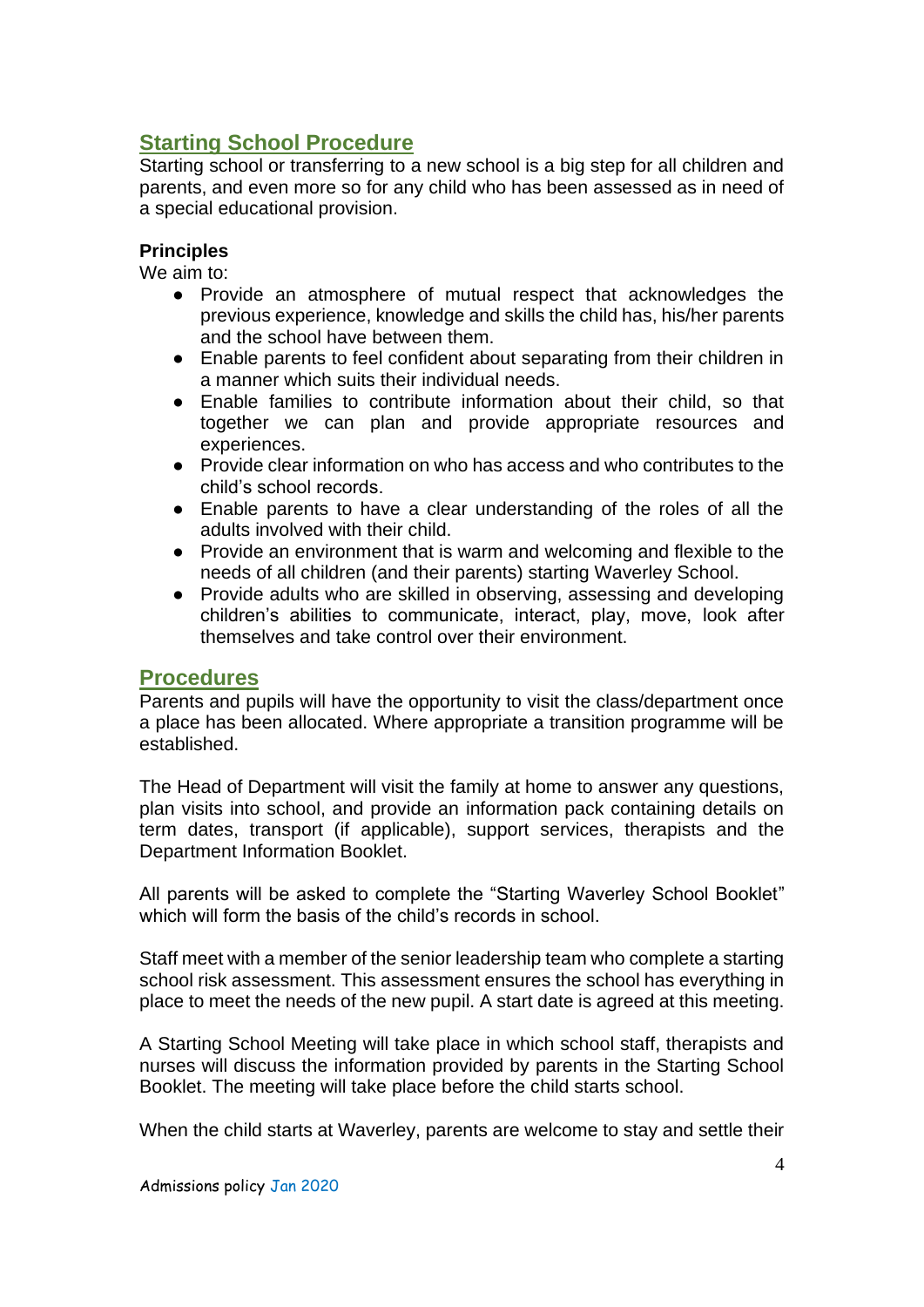### **Starting School Procedure**

Starting school or transferring to a new school is a big step for all children and parents, and even more so for any child who has been assessed as in need of a special educational provision.

#### **Principles**

We aim to:

- Provide an atmosphere of mutual respect that acknowledges the previous experience, knowledge and skills the child has, his/her parents and the school have between them.
- Enable parents to feel confident about separating from their children in a manner which suits their individual needs.
- Enable families to contribute information about their child, so that together we can plan and provide appropriate resources and experiences.
- Provide clear information on who has access and who contributes to the child's school records.
- Enable parents to have a clear understanding of the roles of all the adults involved with their child.
- Provide an environment that is warm and welcoming and flexible to the needs of all children (and their parents) starting Waverley School.
- Provide adults who are skilled in observing, assessing and developing children's abilities to communicate, interact, play, move, look after themselves and take control over their environment.

#### **Procedures**

Parents and pupils will have the opportunity to visit the class/department once a place has been allocated. Where appropriate a transition programme will be established.

The Head of Department will visit the family at home to answer any questions, plan visits into school, and provide an information pack containing details on term dates, transport (if applicable), support services, therapists and the Department Information Booklet.

All parents will be asked to complete the "Starting Waverley School Booklet" which will form the basis of the child's records in school.

Staff meet with a member of the senior leadership team who complete a starting school risk assessment. This assessment ensures the school has everything in place to meet the needs of the new pupil. A start date is agreed at this meeting.

A Starting School Meeting will take place in which school staff, therapists and nurses will discuss the information provided by parents in the Starting School Booklet. The meeting will take place before the child starts school.

When the child starts at Waverley, parents are welcome to stay and settle their